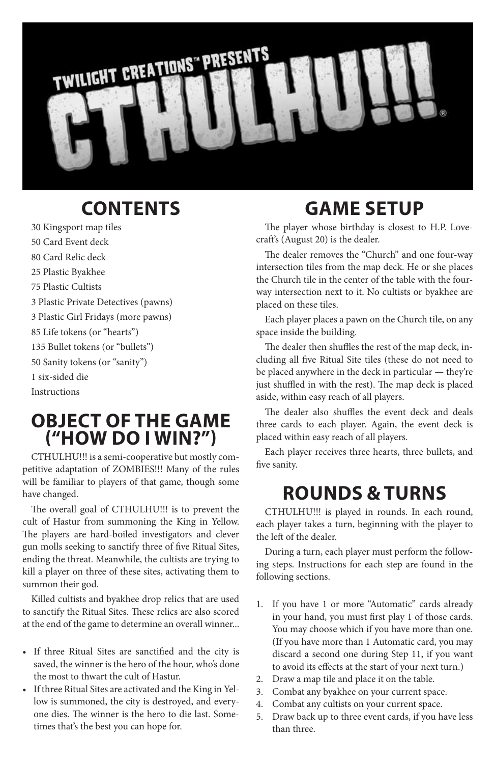

# **CONTENTS**

30 Kingsport map tiles 50 Card Event deck 80 Card Relic deck 25 Plastic Byakhee 75 Plastic Cultists 3 Plastic Private Detectives (pawns) 3 Plastic Girl Fridays (more pawns) 85 Life tokens (or "hearts") 135 Bullet tokens (or "bullets") 50 Sanity tokens (or "sanity") 1 six-sided die Instructions

### **Object of the Game ("How Do I Win?")**

CTHULHU!!! is a semi-cooperative but mostly competitive adaptation of ZOMBIES!!! Many of the rules will be familiar to players of that game, though some have changed.

The overall goal of CTHULHU!!! is to prevent the cult of Hastur from summoning the King in Yellow. The players are hard-boiled investigators and clever gun molls seeking to sanctify three of five Ritual Sites, ending the threat. Meanwhile, the cultists are trying to kill a player on three of these sites, activating them to summon their god.

Killed cultists and byakhee drop relics that are used to sanctify the Ritual Sites. These relics are also scored at the end of the game to determine an overall winner...

- • If three Ritual Sites are sanctified and the city is saved, the winner is the hero of the hour, who's done the most to thwart the cult of Hastur.
- • If three Ritual Sites are activated and the King in Yellow is summoned, the city is destroyed, and everyone dies. The winner is the hero to die last. Sometimes that's the best you can hope for.

# **Game Setup**

The player whose birthday is closest to H.P. Lovecraft's (August 20) is the dealer.

The dealer removes the "Church" and one four-way intersection tiles from the map deck. He or she places the Church tile in the center of the table with the fourway intersection next to it. No cultists or byakhee are placed on these tiles.

Each player places a pawn on the Church tile, on any space inside the building.

The dealer then shuffles the rest of the map deck, including all five Ritual Site tiles (these do not need to be placed anywhere in the deck in particular — they're just shuffled in with the rest). The map deck is placed aside, within easy reach of all players.

The dealer also shuffles the event deck and deals three cards to each player. Again, the event deck is placed within easy reach of all players.

Each player receives three hearts, three bullets, and five sanity.

## **Rounds & Turns**

CTHULHU!!! is played in rounds. In each round, each player takes a turn, beginning with the player to the left of the dealer.

During a turn, each player must perform the following steps. Instructions for each step are found in the following sections.

- 1. If you have 1 or more "Automatic" cards already in your hand, you must first play 1 of those cards. You may choose which if you have more than one. (If you have more than 1 Automatic card, you may discard a second one during Step 11, if you want to avoid its effects at the start of your next turn.)
- 2. Draw a map tile and place it on the table.
- 3. Combat any byakhee on your current space.
- 4. Combat any cultists on your current space.
- 5. Draw back up to three event cards, if you have less than three.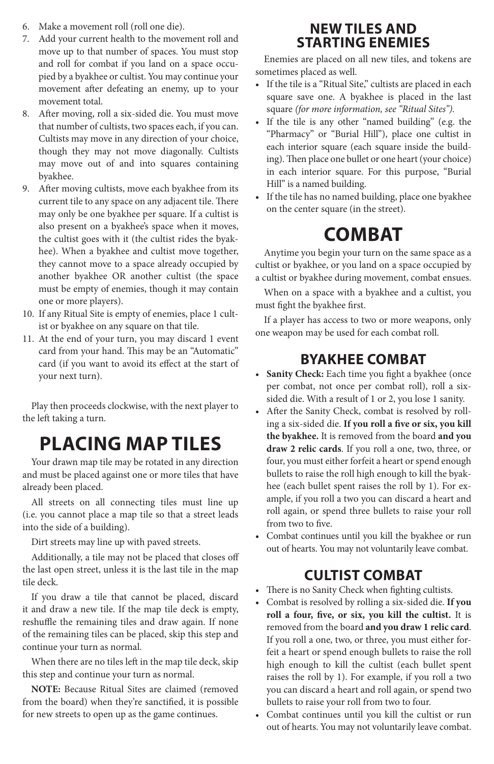- 6. Make a movement roll (roll one die).
- 7. Add your current health to the movement roll and move up to that number of spaces. You must stop and roll for combat if you land on a space occupied by a byakhee or cultist. You may continue your movement after defeating an enemy, up to your movement total.
- 8. After moving, roll a six-sided die. You must move that number of cultists, two spaces each, if you can. Cultists may move in any direction of your choice, though they may not move diagonally. Cultists may move out of and into squares containing byakhee.
- 9. After moving cultists, move each byakhee from its current tile to any space on any adjacent tile. There may only be one byakhee per square. If a cultist is also present on a byakhee's space when it moves, the cultist goes with it (the cultist rides the byakhee). When a byakhee and cultist move together, they cannot move to a space already occupied by another byakhee OR another cultist (the space must be empty of enemies, though it may contain one or more players).
- 10. If any Ritual Site is empty of enemies, place 1 cultist or byakhee on any square on that tile.
- 11. At the end of your turn, you may discard 1 event card from your hand. This may be an "Automatic" card (if you want to avoid its effect at the start of your next turn).

Play then proceeds clockwise, with the next player to the left taking a turn.

# **Placing Map Tiles**

Your drawn map tile may be rotated in any direction and must be placed against one or more tiles that have already been placed.

All streets on all connecting tiles must line up (i.e. you cannot place a map tile so that a street leads into the side of a building).

Dirt streets may line up with paved streets.

Additionally, a tile may not be placed that closes off the last open street, unless it is the last tile in the map tile deck.

If you draw a tile that cannot be placed, discard it and draw a new tile. If the map tile deck is empty, reshuffle the remaining tiles and draw again. If none of the remaining tiles can be placed, skip this step and continue your turn as normal.

When there are no tiles left in the map tile deck, skip this step and continue your turn as normal.

**NOTE:** Because Ritual Sites are claimed (removed from the board) when they're sanctified, it is possible for new streets to open up as the game continues.

### **New Tiles and Starting Enemies**

Enemies are placed on all new tiles, and tokens are sometimes placed as well.

- • If the tile is a "Ritual Site," cultists are placed in each square save one. A byakhee is placed in the last square *(for more information, see "Ritual Sites").*
- If the tile is any other "named building" (e.g. the "Pharmacy" or "Burial Hill"), place one cultist in each interior square (each square inside the building). Then place one bullet or one heart (your choice) in each interior square. For this purpose, "Burial Hill" is a named building.
- • If the tile has no named building, place one byakhee on the center square (in the street).

# **Combat**

Anytime you begin your turn on the same space as a cultist or byakhee, or you land on a space occupied by a cultist or byakhee during movement, combat ensues.

When on a space with a byakhee and a cultist, you must fight the byakhee first.

If a player has access to two or more weapons, only one weapon may be used for each combat roll.

### **Byakhee Combat**

- • **Sanity Check:** Each time you fight a byakhee (once per combat, not once per combat roll), roll a sixsided die. With a result of 1 or 2, you lose 1 sanity.
- • After the Sanity Check, combat is resolved by rolling a six-sided die. **If you roll a five or six, you kill the byakhee.** It is removed from the board **and you draw 2 relic cards**. If you roll a one, two, three, or four, you must either forfeit a heart or spend enough bullets to raise the roll high enough to kill the byakhee (each bullet spent raises the roll by 1). For example, if you roll a two you can discard a heart and roll again, or spend three bullets to raise your roll from two to five.
- • Combat continues until you kill the byakhee or run out of hearts. You may not voluntarily leave combat.

### **Cultist Combat**

- • There is no Sanity Check when fighting cultists.
- Combat is resolved by rolling a six-sided die. If you **roll a four, five, or six, you kill the cultist.** It is removed from the board **and you draw 1 relic card**. If you roll a one, two, or three, you must either forfeit a heart or spend enough bullets to raise the roll high enough to kill the cultist (each bullet spent raises the roll by 1). For example, if you roll a two you can discard a heart and roll again, or spend two bullets to raise your roll from two to four.
- • Combat continues until you kill the cultist or run out of hearts. You may not voluntarily leave combat.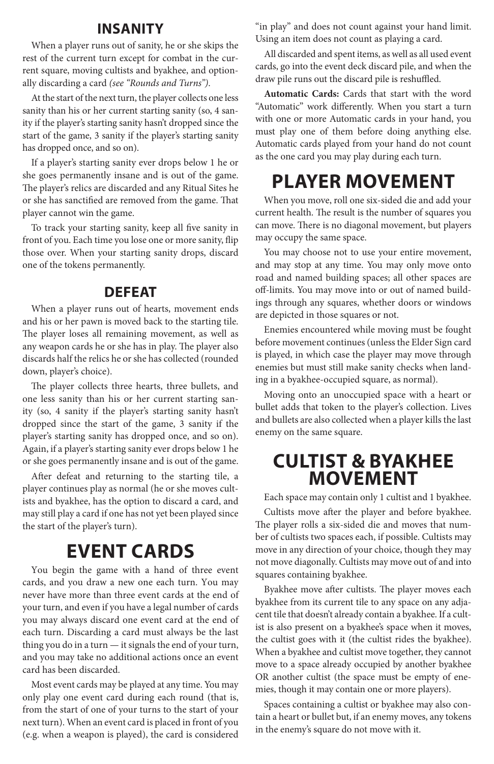#### **Insanity**

When a player runs out of sanity, he or she skips the rest of the current turn except for combat in the current square, moving cultists and byakhee, and optionally discarding a card *(see "Rounds and Turns")*.

At the start of the next turn, the player collects one less sanity than his or her current starting sanity (so, 4 sanity if the player's starting sanity hasn't dropped since the start of the game, 3 sanity if the player's starting sanity has dropped once, and so on).

If a player's starting sanity ever drops below 1 he or she goes permanently insane and is out of the game. The player's relics are discarded and any Ritual Sites he or she has sanctified are removed from the game. That player cannot win the game.

To track your starting sanity, keep all five sanity in front of you. Each time you lose one or more sanity, flip those over. When your starting sanity drops, discard one of the tokens permanently.

#### **Defeat**

When a player runs out of hearts, movement ends and his or her pawn is moved back to the starting tile. The player loses all remaining movement, as well as any weapon cards he or she has in play. The player also discards half the relics he or she has collected (rounded down, player's choice).

The player collects three hearts, three bullets, and one less sanity than his or her current starting sanity (so, 4 sanity if the player's starting sanity hasn't dropped since the start of the game, 3 sanity if the player's starting sanity has dropped once, and so on). Again, if a player's starting sanity ever drops below 1 he or she goes permanently insane and is out of the game.

After defeat and returning to the starting tile, a player continues play as normal (he or she moves cultists and byakhee, has the option to discard a card, and may still play a card if one has not yet been played since the start of the player's turn).

### **Event Cards**

You begin the game with a hand of three event cards, and you draw a new one each turn. You may never have more than three event cards at the end of your turn, and even if you have a legal number of cards you may always discard one event card at the end of each turn. Discarding a card must always be the last thing you do in a turn — it signals the end of your turn, and you may take no additional actions once an event card has been discarded.

Most event cards may be played at any time. You may only play one event card during each round (that is, from the start of one of your turns to the start of your next turn). When an event card is placed in front of you (e.g. when a weapon is played), the card is considered

"in play" and does not count against your hand limit. Using an item does not count as playing a card.

All discarded and spent items, as well as all used event cards, go into the event deck discard pile, and when the draw pile runs out the discard pile is reshuffled.

**Automatic Cards:** Cards that start with the word "Automatic" work differently. When you start a turn with one or more Automatic cards in your hand, you must play one of them before doing anything else. Automatic cards played from your hand do not count as the one card you may play during each turn.

## **Player Movement**

When you move, roll one six-sided die and add your current health. The result is the number of squares you can move. There is no diagonal movement, but players may occupy the same space.

You may choose not to use your entire movement, and may stop at any time. You may only move onto road and named building spaces; all other spaces are off-limits. You may move into or out of named buildings through any squares, whether doors or windows are depicted in those squares or not.

Enemies encountered while moving must be fought before movement continues (unless the Elder Sign card is played, in which case the player may move through enemies but must still make sanity checks when landing in a byakhee-occupied square, as normal).

Moving onto an unoccupied space with a heart or bullet adds that token to the player's collection. Lives and bullets are also collected when a player kills the last enemy on the same square.

### **Cultist & Byakhee Movement**

Each space may contain only 1 cultist and 1 byakhee.

Cultists move after the player and before byakhee. The player rolls a six-sided die and moves that number of cultists two spaces each, if possible. Cultists may move in any direction of your choice, though they may not move diagonally. Cultists may move out of and into squares containing byakhee.

Byakhee move after cultists. The player moves each byakhee from its current tile to any space on any adjacent tile that doesn't already contain a byakhee. If a cultist is also present on a byakhee's space when it moves, the cultist goes with it (the cultist rides the byakhee). When a byakhee and cultist move together, they cannot move to a space already occupied by another byakhee OR another cultist (the space must be empty of enemies, though it may contain one or more players).

Spaces containing a cultist or byakhee may also contain a heart or bullet but, if an enemy moves, any tokens in the enemy's square do not move with it.